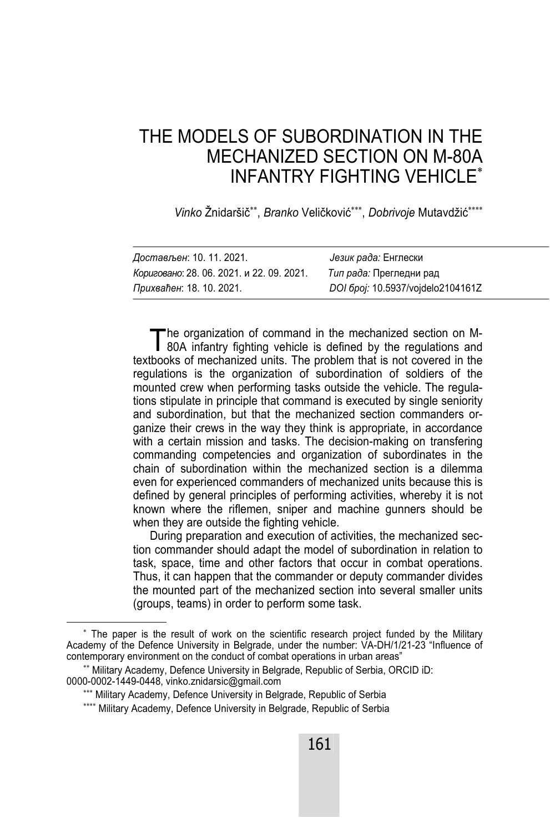# THE MODELS OF SUBORDINATION IN THE MECHANIZED SECTION ON M-80A INFANTRY FIGHTING VEHICLE

Vinko Žnidaršič<sup>\*\*</sup>. Branko Veličković<sup>\*\*\*</sup>, Dobrivoje Mutavdžić<sup>\*\*\*\*</sup>

| Достављен: 10. 11. 2021.                  | Језик рада: Енглески              |
|-------------------------------------------|-----------------------------------|
| Кориговано: 28. 06. 2021. и 22. 09. 2021. | Тип рада: Прегледни рад           |
| Прихваћен: 18. 10. 2021.                  | DOI 6poj: 10.5937/vojdelo2104161Z |

he organization of command in the mechanized section on M-The organization of command in the mechanized section on M-<br>80A infantry fighting vehicle is defined by the regulations and textbooks of mechanized units. The problem that is not covered in the regulations is the organization of subordination of soldiers of the mounted crew when performing tasks outside the vehicle. The regulations stipulate in principle that command is executed by single seniority and subordination, but that the mechanized section commanders organize their crews in the way they think is appropriate, in accordance with a certain mission and tasks. The decision-making on transfering commanding competencies and organization of subordinates in the chain of subordination within the mechanized section is a dilemma even for experienced commanders of mechanized units because this is defined by general principles of performing activities, whereby it is not known where the riflemen, sniper and machine gunners should be when they are outside the fighting vehicle.

During preparation and execution of activities, the mechanized section commander should adapt the model of subordination in relation to task, space, time and other factors that occur in combat operations. Thus, it can happen that the commander or deputy commander divides the mounted part of the mechanized section into several smaller units (groups, teams) in order to perform some task.

 $\overline{\phantom{a}}$  The paper is the result of work on the scientific research project funded by the Military Academy of the Defence University in Belgrade, under the number: VA-DH/1/21-23 "Influence of contemporary environment on the conduct of combat operations in urban areas"

<sup>\*\*</sup> Military Academy, Defence University in Belgrade, Republic of Serbia, ORCID iD: 0000-0002-1449-0448, vinko.znidarsic@gmail.com

<sup>\*\*\*</sup> Military Academy, Defence University in Belgrade, Republic of Serbia

<sup>\*\*\*\*</sup> Military Academy, Defence University in Belgrade, Republic of Serbia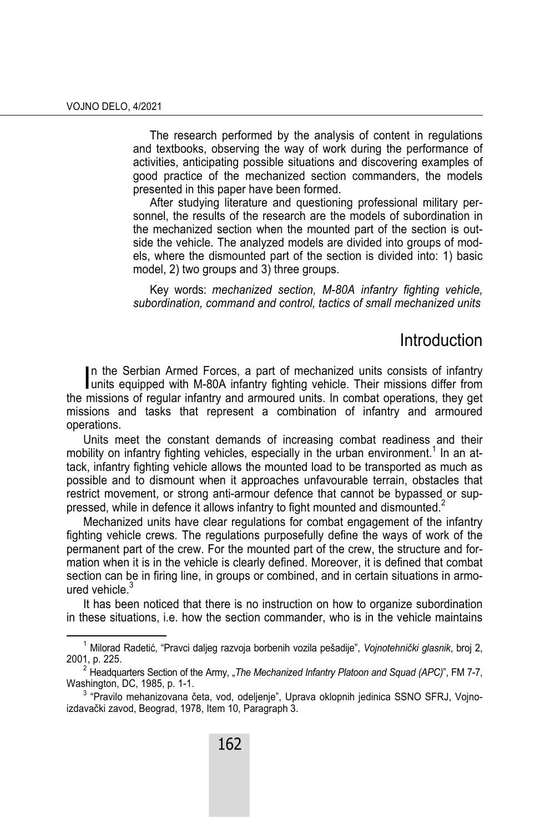The research performed by the analysis of content in regulations and textbooks, observing the way of work during the performance of activities, anticipating possible situations and discovering examples of good practice of the mechanized section commanders, the models presented in this paper have been formed.

After studying literature and questioning professional military personnel, the results of the research are the models of subordination in the mechanized section when the mounted part of the section is outside the vehicle. The analyzed models are divided into groups of models, where the dismounted part of the section is divided into: 1) basic model, 2) two groups and 3) three groups.

Key words: *mechanized section, M-80A infantry fighting vehicle, subordination, command and control, tactics of small mechanized units*

## **Introduction**

n the Serbian Armed Forces, a part of mechanized units consists of infantry In the Serbian Armed Forces, a part of mechanized units consists of infantry units equipped with M-80A infantry fighting vehicle. Their missions differ from the missions of regular infantry and armoured units. In combat operations, they get missions and tasks that represent a combination of infantry and armoured operations.

Units meet the constant demands of increasing combat readiness and their mobility on infantry fighting vehicles, especially in the urban environment.<sup>1</sup> In an attack, infantry fighting vehicle allows the mounted load to be transported as much as possible and to dismount when it approaches unfavourable terrain, obstacles that restrict movement, or strong anti-armour defence that cannot be bypassed or suppressed, while in defence it allows infantry to fight mounted and dismounted.<sup>2</sup>

Mechanized units have clear regulations for combat engagement of the infantry fighting vehicle crews. The regulations purposefully define the ways of work of the permanent part of the crew. For the mounted part of the crew, the structure and formation when it is in the vehicle is clearly defined. Moreover, it is defined that combat section can be in firing line, in groups or combined, and in certain situations in armoured vehicle. $^3$ 

It has been noticed that there is no instruction on how to organize subordination in these situations, i.e. how the section commander, who is in the vehicle maintains

 $\overline{\phantom{0}}$  1 Milorad Radetić, "Pravci daljeg razvoja borbenih vozila pešadije", *Vojnotehnički glasnik*, broj 2, 2001, p. 225.

<sup>&</sup>lt;sup>2</sup> Headquarters Section of the Army, "*The Mechanized Infantry Platoon and Squad (APC)*", FM 7-7, Washington, DC, 1985, p. 1-1. 3

 $3$  "Pravilo mehanizovana četa, vod, odeljenje", Uprava oklopnih jedinica SSNO SFRJ, Vojnoizdavački zavod, Beograd, 1978, Item 10, Paragraph 3.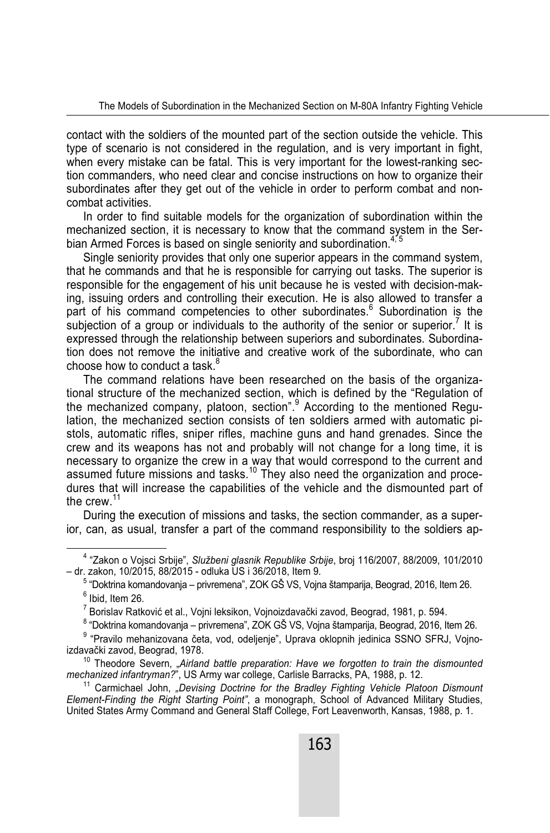contact with the soldiers of the mounted part of the section outside the vehicle. This type of scenario is not considered in the regulation, and is very important in fight, when every mistake can be fatal. This is very important for the lowest-ranking section commanders, who need clear and concise instructions on how to organize their subordinates after they get out of the vehicle in order to perform combat and noncombat activities.

In order to find suitable models for the organization of subordination within the mechanized section, it is necessary to know that the command system in the Serbian Armed Forces is based on single seniority and subordination.<sup>4, 5</sup>

Single seniority provides that only one superior appears in the command system, that he commands and that he is responsible for carrying out tasks. The superior is responsible for the engagement of his unit because he is vested with decision-making, issuing orders and controlling their execution. He is also allowed to transfer a part of his command competencies to other subordinates.<sup>6</sup> Subordination is the subjection of a group or individuals to the authority of the senior or superior.<sup>7</sup> It is expressed through the relationship between superiors and subordinates. Subordination does not remove the initiative and creative work of the subordinate, who can choose how to conduct a task.<sup>8</sup>

The command relations have been researched on the basis of the organizational structure of the mechanized section, which is defined by the "Regulation of the mechanized company, platoon, section".<sup>9</sup> According to the mentioned Regulation, the mechanized section consists of ten soldiers armed with automatic pistols, automatic rifles, sniper rifles, machine guns and hand grenades. Since the crew and its weapons has not and probably will not change for a long time, it is necessary to organize the crew in a way that would correspond to the current and assumed future missions and tasks.<sup>10</sup> They also need the organization and procedures that will increase the capabilities of the vehicle and the dismounted part of the crew  $11$ 

During the execution of missions and tasks, the section commander, as a superior, can, as usual, transfer a part of the command responsibility to the soldiers ap-

 $\frac{1}{4}$  "Zakon o Vojsci Srbije", *Službeni glasnik Republike Srbije*, broj 116/2007, 88/2009, 101/2010 – dr. zakon, 10/2015, 88/2015 - odluka US i 36/2018, Item 9.

<sup>&</sup>lt;sup>5</sup> "Doktrina komandovanja – privremena", ZOK GŠ VS, Vojna štamparija, Beograd, 2016, Item 26.<br><sup>6</sup> lhid. Item 26  $<sup>6</sup>$  Ibid. Item 26.</sup>

<sup>&</sup>lt;sup>7</sup> Borislav Ratković et al., Vojni leksikon, Vojnoizdavački zavod, Beograd, 1981, p. 594.<br><sup>8 "Doldtine komendovanja – privromene", ZOK CŠ VS. Vojno štemperija Beograd, 2016, lt</sup>

<sup>&</sup>lt;sup>8</sup> "Doktrina komandovanja – privremena", ZOK GŠ VS, Vojna štamparija, Beograd, 2016, Item 26.

 $9$  "Pravilo mehanizovana četa, vod, odeljenje", Uprava oklopnih jedinica SSNO SFRJ, Vojno-izdavački zavod. Beograd. 1978.

<sup>&</sup>lt;sup>10</sup> Theodore Severn, "Airland battle preparation: Have we forgotten to train the dismounted *mechanized infantryman?*", US Army war college, Carlisle Barracks, PA, 1988, p. 12.<br><sup>11</sup> Carmichael John, *"Devising Doctrine for the Bradley Fighting Vehicle Platoon Dismount* 

*Element-Finding the Right Starting Point"*, a monograph, School of Advanced Military Studies, United States Army Command and General Staff College, Fort Leavenworth, Kansas, 1988, p. 1.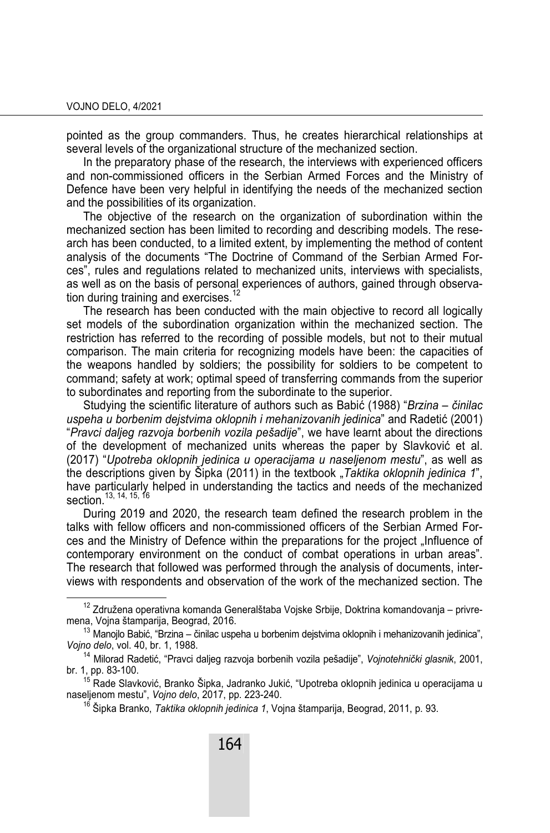pointed as the group commanders. Thus, he creates hierarchical relationships at several levels of the organizational structure of the mechanized section.

In the preparatory phase of the research, the interviews with experienced officers and non-commissioned officers in the Serbian Armed Forces and the Ministry of Defence have been very helpful in identifying the needs of the mechanized section and the possibilities of its organization.

The objective of the research on the organization of subordination within the mechanized section has been limited to recording and describing models. The research has been conducted, to a limited extent, by implementing the method of content analysis of the documents "The Doctrine of Command of the Serbian Armed Forces", rules and regulations related to mechanized units, interviews with specialists, as well as on the basis of personal experiences of authors, gained through observation during training and exercises.<sup>12</sup>

The research has been conducted with the main objective to record all logically set models of the subordination organization within the mechanized section. The restriction has referred to the recording of possible models, but not to their mutual comparison. The main criteria for recognizing models have been: the capacities of the weapons handled by soldiers; the possibility for soldiers to be competent to command; safety at work; optimal speed of transferring commands from the superior to subordinates and reporting from the subordinate to the superior.

Studying the scientific literature of authors such as Babić (1988) "*Brzina – činilac uspeha u borbenim dejstvima oklopnih i mehanizovanih jedinica*" and Radetić (2001) "*Pravci daljeg razvoja borbenih vozila pešadije*", we have learnt about the directions of the development of mechanized units whereas the paper by Slavković et al. (2017) "*Upotreba oklopnih jedinica u operacijama u naseljenom mestu*", as well as the descriptions given by Šipka (2011) in the textbook "*Taktika oklopnih jedinica 1*", have particularly helped in understanding the tactics and needs of the mechanized section.<sup>13, 14, 15, 16</sup>

During 2019 and 2020, the research team defined the research problem in the talks with fellow officers and non-commissioned officers of the Serbian Armed Forces and the Ministry of Defence within the preparations for the project ..Influence of contemporary environment on the conduct of combat operations in urban areas". The research that followed was performed through the analysis of documents, interviews with respondents and observation of the work of the mechanized section. The

<sup>&</sup>lt;sup>12</sup> Združena operativna komanda Generalštaba Vojske Srbije, Doktrina komandovanja – privremena, Vojna štamparija, Beograd, 2016.

<sup>&</sup>lt;sup>13</sup> Manojlo Babić, "Brzina – činilac uspeha u borbenim dejstvima oklopnih i mehanizovanih jedinica", *Vojno delo*, vol. 40, br. 1, 1988.

<sup>14</sup> Milorad Radetić, "Pravci daljeg razvoja borbenih vozila pešadije", *Vojnotehnički glasnik*, 2001, br. 1, pp. 83-100. 15 Rade Slavković, Branko Šipka, Jadranko Jukić, "Upotreba oklopnih jedinica u operacijama u

naseljenom mestu", *Vojno delo*, 2017, pp. 223-240.

<sup>16</sup> Šipka Branko, *Taktika oklopnih jedinica 1*, Vojna štamparija, Beograd, 2011, p. 93.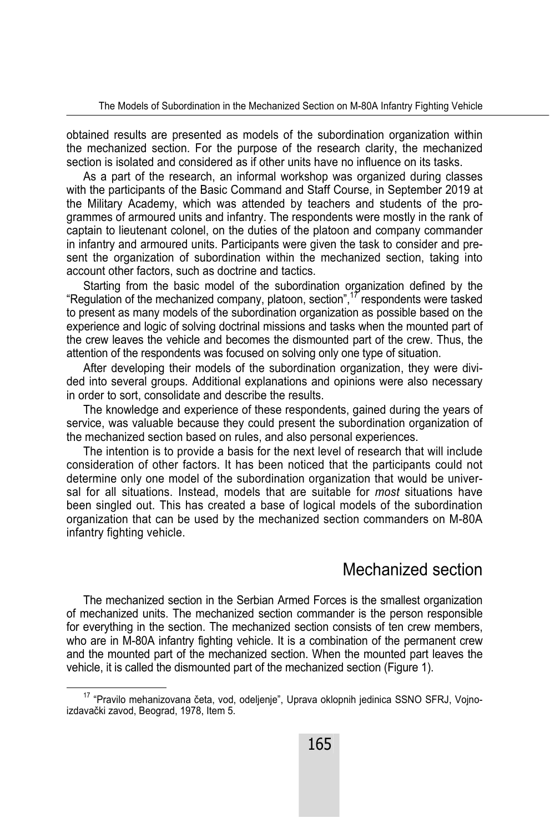obtained results are presented as models of the subordination organization within the mechanized section. For the purpose of the research clarity, the mechanized section is isolated and considered as if other units have no influence on its tasks.

As a part of the research, an informal workshop was organized during classes with the participants of the Basic Command and Staff Course, in September 2019 at the Military Academy, which was attended by teachers and students of the programmes of armoured units and infantry. The respondents were mostly in the rank of captain to lieutenant colonel, on the duties of the platoon and company commander in infantry and armoured units. Participants were given the task to consider and present the organization of subordination within the mechanized section, taking into account other factors, such as doctrine and tactics.

Starting from the basic model of the subordination organization defined by the "Regulation of the mechanized company, platoon, section",17 respondents were tasked to present as many models of the subordination organization as possible based on the experience and logic of solving doctrinal missions and tasks when the mounted part of the crew leaves the vehicle and becomes the dismounted part of the crew. Thus, the attention of the respondents was focused on solving only one type of situation.

After developing their models of the subordination organization, they were divided into several groups. Additional explanations and opinions were also necessary in order to sort, consolidate and describe the results.

The knowledge and experience of these respondents, gained during the years of service, was valuable because they could present the subordination organization of the mechanized section based on rules, and also personal experiences.

The intention is to provide a basis for the next level of research that will include consideration of other factors. It has been noticed that the participants could not determine only one model of the subordination organization that would be universal for all situations. Instead, models that are suitable for *most* situations have been singled out. This has created a base of logical models of the subordination organization that can be used by the mechanized section commanders on M-80A infantry fighting vehicle.

### Mechanized section

The mechanized section in the Serbian Armed Forces is the smallest organization of mechanized units. The mechanized section commander is the person responsible for everything in the section. The mechanized section consists of ten crew members, who are in M-80A infantry fighting vehicle. It is a combination of the permanent crew and the mounted part of the mechanized section. When the mounted part leaves the vehicle, it is called the dismounted part of the mechanized section (Figure 1).

<sup>&</sup>lt;sup>17</sup> "Pravilo mehanizovana četa, vod, odeljenje", Uprava oklopnih jedinica SSNO SFRJ, Vojnoizdavački zavod, Beograd, 1978, Item 5.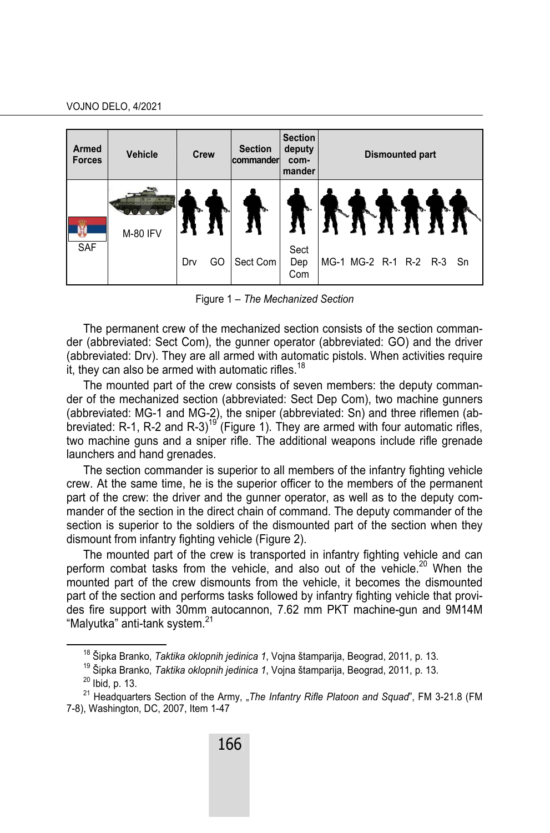| <b>Armed</b><br><b>Forces</b> | Vehicle  | <b>Crew</b> | <b>Section</b><br>commander | <b>Section</b><br>deputy<br>com-<br>mander | <b>Dismounted part</b>   |
|-------------------------------|----------|-------------|-----------------------------|--------------------------------------------|--------------------------|
| SAF                           | M-80 IFV |             |                             |                                            |                          |
|                               |          | Drv<br>GO   | Sect Com                    | Sect<br>Dep<br>Com                         | MG-1 MG-2 R-1 R-2 R-3 Sn |

Figure 1 – *The Mechanized Section* 

The permanent crew of the mechanized section consists of the section commander (abbreviated: Sect Com), the gunner operator (abbreviated: GO) and the driver (abbreviated: Drv). They are all armed with automatic pistols. When activities require it, they can also be armed with automatic rifles.<sup>18</sup>

The mounted part of the crew consists of seven members: the deputy commander of the mechanized section (abbreviated: Sect Dep Com), two machine gunners (abbreviated: MG-1 and MG-2), the sniper (abbreviated: Sn) and three riflemen (abbreviated: R-1, R-2 and R-3)<sup>19'</sup> (Figure 1). They are armed with four automatic rifles, two machine guns and a sniper rifle. The additional weapons include rifle grenade launchers and hand grenades.

The section commander is superior to all members of the infantry fighting vehicle crew. At the same time, he is the superior officer to the members of the permanent part of the crew: the driver and the gunner operator, as well as to the deputy commander of the section in the direct chain of command. The deputy commander of the section is superior to the soldiers of the dismounted part of the section when they dismount from infantry fighting vehicle (Figure 2).

The mounted part of the crew is transported in infantry fighting vehicle and can perform combat tasks from the vehicle, and also out of the vehicle.<sup>20</sup> When the mounted part of the crew dismounts from the vehicle, it becomes the dismounted part of the section and performs tasks followed by infantry fighting vehicle that provides fire support with 30mm autocannon, 7.62 mm PKT machine-gun and 9M14M "Malyutka" anti-tank system.<sup>21</sup>

<sup>&</sup>lt;sup>18</sup> Šipka Branko, *Taktika oklopnih jedinica 1*, Vojna štamparija, Beograd, 2011, p. 13.<br><sup>19</sup> Šipka Branko, *Taktika oklopnih jedinica 1*, Vojna štamparija, Beograd, 2011, p. 13.<br><sup>20</sup> Ibid. p. 13.

<sup>&</sup>lt;sup>21</sup> Headquarters Section of the Army, "The Infantry Rifle Platoon and Squad", FM 3-21.8 (FM 7-8), Washington, DC, 2007, Item 1-47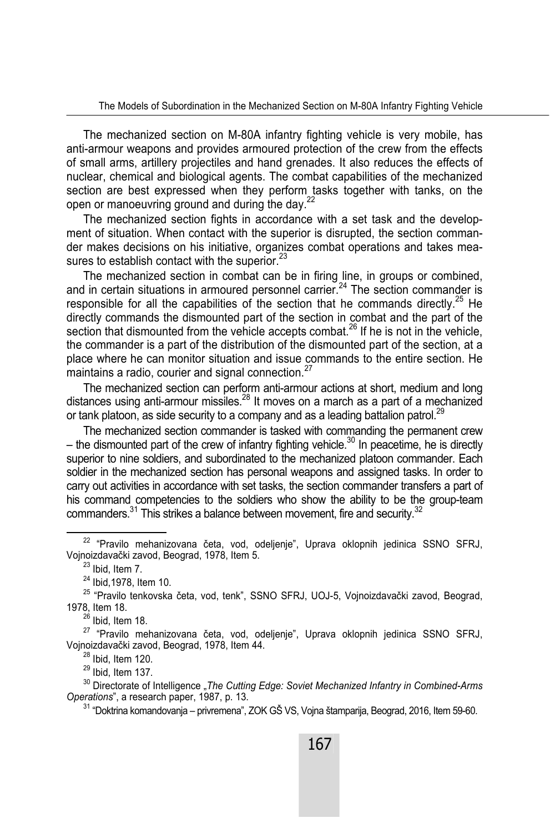The mechanized section on M-80A infantry fighting vehicle is very mobile, has anti-armour weapons and provides armoured protection of the crew from the effects of small arms, artillery projectiles and hand grenades. It also reduces the effects of nuclear, chemical and biological agents. The combat capabilities of the mechanized section are best expressed when they perform tasks together with tanks, on the open or manoeuvring ground and during the day.<sup>22</sup>

The mechanized section fights in accordance with a set task and the development of situation. When contact with the superior is disrupted, the section commander makes decisions on his initiative, organizes combat operations and takes measures to establish contact with the superior. $^{23}$ 

The mechanized section in combat can be in firing line, in groups or combined, and in certain situations in armoured personnel carrier.<sup>24</sup> The section commander is responsible for all the capabilities of the section that he commands directly.<sup>25</sup> He directly commands the dismounted part of the section in combat and the part of the section that dismounted from the vehicle accepts combat.<sup>26</sup> If he is not in the vehicle, the commander is a part of the distribution of the dismounted part of the section, at a place where he can monitor situation and issue commands to the entire section. He maintains a radio, courier and signal connection.<sup>27</sup>

The mechanized section can perform anti-armour actions at short, medium and long distances using anti-armour missiles.28 It moves on a march as a part of a mechanized or tank platoon, as side security to a company and as a leading battalion patrol.<sup>29</sup>

The mechanized section commander is tasked with commanding the permanent crew – the dismounted part of the crew of infantry fighting vehicle.<sup>30</sup> In peacetime, he is directly superior to nine soldiers, and subordinated to the mechanized platoon commander. Each soldier in the mechanized section has personal weapons and assigned tasks. In order to carry out activities in accordance with set tasks, the section commander transfers a part of his command competencies to the soldiers who show the ability to be the group-team commanders. $31$  This strikes a balance between movement, fire and security.  $32$ 

27 "Pravilo mehanizovana četa, vod, odeljenje", Uprava oklopnih jedinica SSNO SFRJ, Vojnoizdavački zavod, Beograd, 1978, Item 44.

 $28$  Ibid, Item 120.

 $29$  Ibid, Item 137.

<sup>30</sup> Directorate of Intelligence "*The Cutting Edge: Soviet Mechanized Infantry in Combined-Arms Operations*", a research paper, 1987, p. 13.

<sup>31</sup> "Doktrina komandovania – privremena", ZOK GŠ VS, Vojna štamparija, Beograd, 2016, Item 59-60.

22 "Pravilo mehanizovana četa, vod, odeljenje", Uprava oklopnih jedinica SSNO SFRJ, Vojnoizdavački zavod, Beograd, 1978, Item 5. 23 Ibid, Item 7.

 $24$  Ibid, 1978, Item 10.

<sup>25 &</sup>quot;Pravilo tenkovska četa, vod, tenk", SSNO SFRJ, UOJ-5, Vojnoizdavački zavod, Beograd, 1978, Item 18.<br><sup>26</sup> Ibid, Item 18.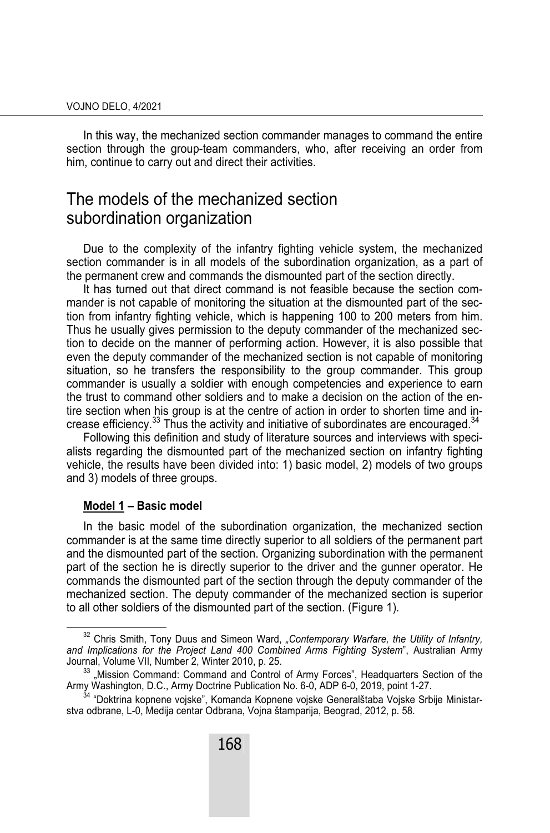In this way, the mechanized section commander manages to command the entire section through the group-team commanders, who, after receiving an order from him, continue to carry out and direct their activities.

### The models of the mechanized section subordination organization

Due to the complexity of the infantry fighting vehicle system, the mechanized section commander is in all models of the subordination organization, as a part of the permanent crew and commands the dismounted part of the section directly.

It has turned out that direct command is not feasible because the section commander is not capable of monitoring the situation at the dismounted part of the section from infantry fighting vehicle, which is happening 100 to 200 meters from him. Thus he usually gives permission to the deputy commander of the mechanized section to decide on the manner of performing action. However, it is also possible that even the deputy commander of the mechanized section is not capable of monitoring situation, so he transfers the responsibility to the group commander. This group commander is usually a soldier with enough competencies and experience to earn the trust to command other soldiers and to make a decision on the action of the entire section when his group is at the centre of action in order to shorten time and increase efficiency.<sup>33</sup> Thus the activity and initiative of subordinates are encouraged.<sup>34</sup>

Following this definition and study of literature sources and interviews with specialists regarding the dismounted part of the mechanized section on infantry fighting vehicle, the results have been divided into: 1) basic model, 2) models of two groups and 3) models of three groups.

#### **Model 1 – Basic model**

In the basic model of the subordination organization, the mechanized section commander is at the same time directly superior to all soldiers of the permanent part and the dismounted part of the section. Organizing subordination with the permanent part of the section he is directly superior to the driver and the gunner operator. He commands the dismounted part of the section through the deputy commander of the mechanized section. The deputy commander of the mechanized section is superior to all other soldiers of the dismounted part of the section. (Figure 1).

<sup>&</sup>lt;sup>32</sup> Chris Smith, Tony Duus and Simeon Ward, "Contemporary Warfare, the Utility of Infantry, *and Implications for the Project Land 400 Combined Arms Fighting System*", Australian Army

<sup>33 &</sup>quot;Mission Command: Command and Control of Army Forces", Headquarters Section of the

Army Washington, D.C., Army Doctrine Publication No. 6-0, ADP 6-0, 2019, point 1-27. 34 "Doktrina kopnene vojske", Komanda Kopnene vojske Generalštaba Vojske Srbije Ministarstva odbrane, L-0, Medija centar Odbrana, Vojna štamparija, Beograd, 2012, p. 58.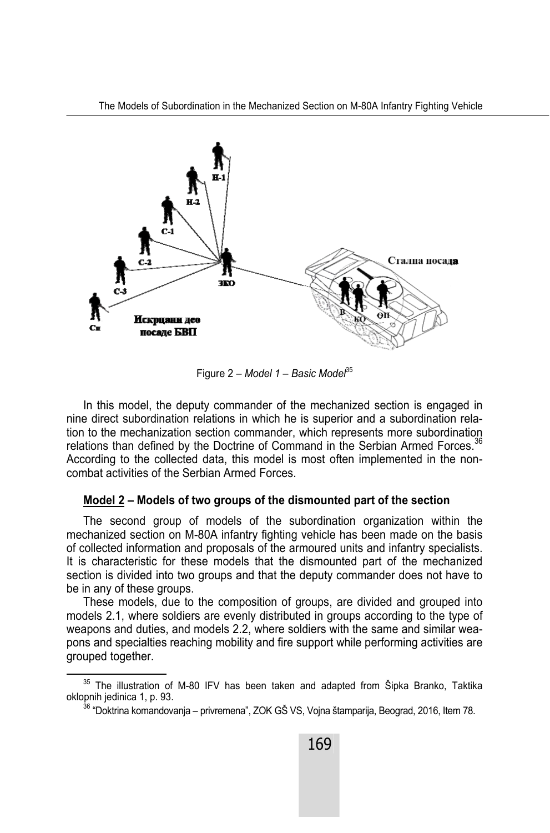

Figure 2 – Model 1 – Basic Model<sup>35</sup>

In this model, the deputy commander of the mechanized section is engaged in nine direct subordination relations in which he is superior and a subordination relation to the mechanization section commander, which represents more subordination relations than defined by the Doctrine of Command in the Serbian Armed Forces.<sup>36</sup> According to the collected data, this model is most often implemented in the noncombat activities of the Serbian Armed Forces.

#### **Model 2 – Models of two groups of the dismounted part of the section**

The second group of models of the subordination organization within the mechanized section on M-80A infantry fighting vehicle has been made on the basis of collected information and proposals of the armoured units and infantry specialists. It is characteristic for these models that the dismounted part of the mechanized section is divided into two groups and that the deputy commander does not have to be in any of these groups.

These models, due to the composition of groups, are divided and grouped into models 2.1, where soldiers are evenly distributed in groups according to the type of weapons and duties, and models 2.2, where soldiers with the same and similar weapons and specialties reaching mobility and fire support while performing activities are grouped together.

 $35$  The illustration of M-80 IFV has been taken and adapted from Šipka Branko, Taktika oklopnih jedinica 1, p. 93.

 $^{36}$  "Doktrina komandovania – privremena", ZOK GŠ VS, Voina štamparija, Beograd, 2016, Item 78.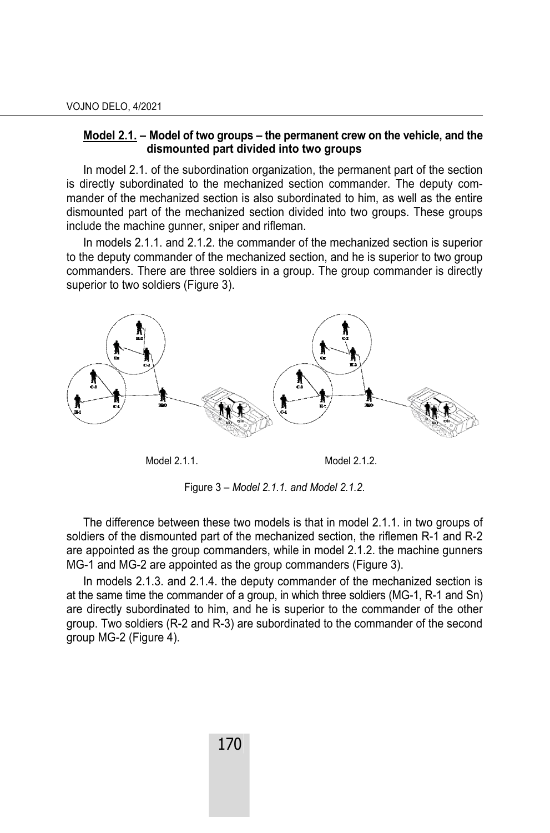#### **Model 2.1. – Model of two groups – the permanent crew on the vehicle, and the dismounted part divided into two groups**

In model 2.1. of the subordination organization, the permanent part of the section is directly subordinated to the mechanized section commander. The deputy commander of the mechanized section is also subordinated to him, as well as the entire dismounted part of the mechanized section divided into two groups. These groups include the machine gunner, sniper and rifleman.

In models 2.1.1. and 2.1.2. the commander of the mechanized section is superior to the deputy commander of the mechanized section, and he is superior to two group commanders. There are three soldiers in a group. The group commander is directly superior to two soldiers (Figure 3).



Model 2.1.1. Model 2.1.2.

Figure 3 – *Model 2.1.1. and Model 2.1.2*.

The difference between these two models is that in model 2.1.1. in two groups of soldiers of the dismounted part of the mechanized section, the riflemen R-1 and R-2 are appointed as the group commanders, while in model 2.1.2. the machine gunners MG-1 and MG-2 are appointed as the group commanders (Figure 3).

In models 2.1.3. and 2.1.4. the deputy commander of the mechanized section is at the same time the commander of a group, in which three soldiers (MG-1, R-1 and Sn) are directly subordinated to him, and he is superior to the commander of the other group. Two soldiers (R-2 and R-3) are subordinated to the commander of the second group MG-2 (Figure 4).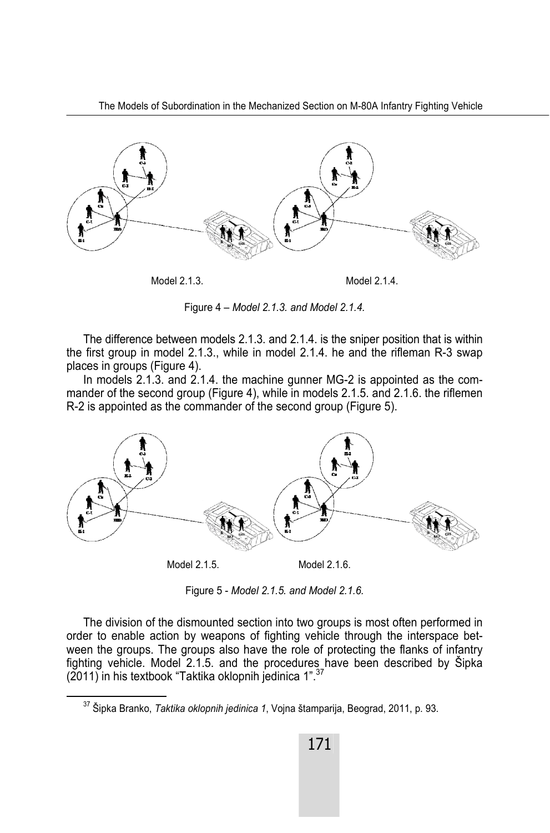

Model 2.1.3. Model 2.1.4.

Figure 4 – *Model 2.1.3. and Model 2.1.4.*

The difference between models 2.1.3. and 2.1.4. is the sniper position that is within the first group in model 2.1.3., while in model 2.1.4. he and the rifleman R-3 swap places in groups (Figure 4).

In models 2.1.3. and 2.1.4. the machine gunner MG-2 is appointed as the commander of the second group (Figure 4), while in models 2.1.5. and 2.1.6. the riflemen R-2 is appointed as the commander of the second group (Figure 5).



Figure 5 - *Model 2.1.5. and Model 2.1.6.*

The division of the dismounted section into two groups is most often performed in order to enable action by weapons of fighting vehicle through the interspace between the groups. The groups also have the role of protecting the flanks of infantry fighting vehicle. Model 2.1.5. and the procedures have been described by Šipka  $(2011)$  in his textbook "Taktika oklopnih jedinica 1".

37 Šipka Branko, *Taktika oklopnih jedinica 1*, Vojna štamparija, Beograd, 2011, p. 93.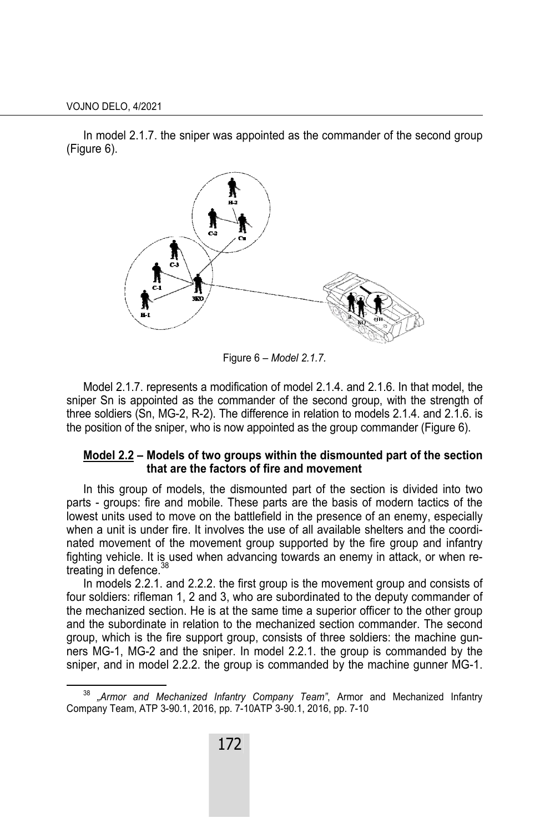In model 2.1.7. the sniper was appointed as the commander of the second group (Figure 6).



Figure 6 – *Model 2.1.7.* 

Model 2.1.7. represents a modification of model 2.1.4. and 2.1.6. In that model, the sniper Sn is appointed as the commander of the second group, with the strength of three soldiers (Sn, MG-2, R-2). The difference in relation to models 2.1.4. and 2.1.6. is the position of the sniper, who is now appointed as the group commander (Figure 6).

#### **Model 2.2 – Models of two groups within the dismounted part of the section that are the factors of fire and movement**

In this group of models, the dismounted part of the section is divided into two parts - groups: fire and mobile. These parts are the basis of modern tactics of the lowest units used to move on the battlefield in the presence of an enemy, especially when a unit is under fire. It involves the use of all available shelters and the coordinated movement of the movement group supported by the fire group and infantry fighting vehicle. It is used when advancing towards an enemy in attack, or when retreating in defence.<sup>38</sup>

In models 2.2.1. and 2.2.2. the first group is the movement group and consists of four soldiers: rifleman 1, 2 and 3, who are subordinated to the deputy commander of the mechanized section. He is at the same time a superior officer to the other group and the subordinate in relation to the mechanized section commander. The second group, which is the fire support group, consists of three soldiers: the machine gunners MG-1, MG-2 and the sniper. In model 2.2.1. the group is commanded by the sniper, and in model 2.2.2. the group is commanded by the machine gunner MG-1.

<sup>&</sup>quot;Armor and Mechanized Infantry Company Team", Armor and Mechanized Infantry Company Team, ATP 3-90.1, 2016, pp. 7-10ATP 3-90.1, 2016, pp. 7-10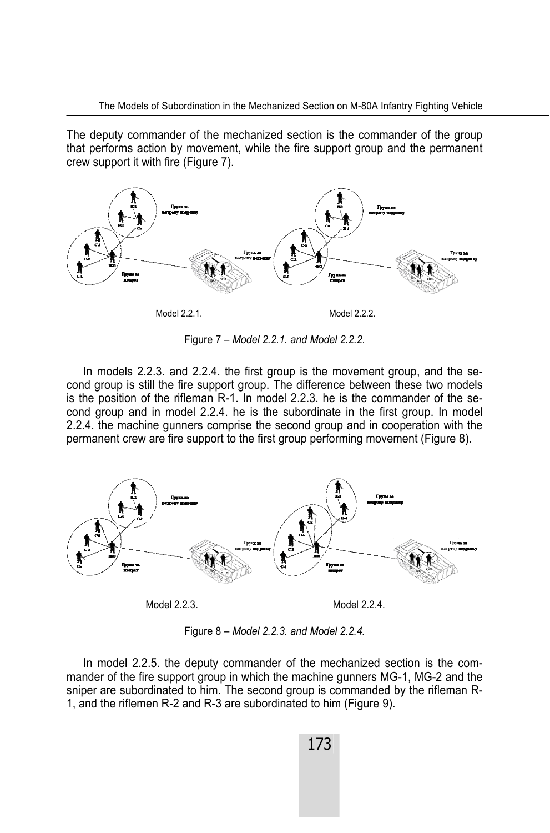The deputy commander of the mechanized section is the commander of the group that performs action by movement, while the fire support group and the permanent crew support it with fire (Figure 7).



Figure 7 – *Model 2.2.1. and Model 2.2.2*.

In models 2.2.3. and 2.2.4. the first group is the movement group, and the second group is still the fire support group. The difference between these two models is the position of the rifleman R-1. In model 2.2.3. he is the commander of the second group and in model 2.2.4. he is the subordinate in the first group. In model 2.2.4. the machine gunners comprise the second group and in cooperation with the permanent crew are fire support to the first group performing movement (Figure 8).



Figure 8 – *Model 2.2.3. and Model 2.2.4.*

In model 2.2.5. the deputy commander of the mechanized section is the commander of the fire support group in which the machine gunners MG-1, MG-2 and the sniper are subordinated to him. The second group is commanded by the rifleman R-1, and the riflemen R-2 and R-3 are subordinated to him (Figure 9).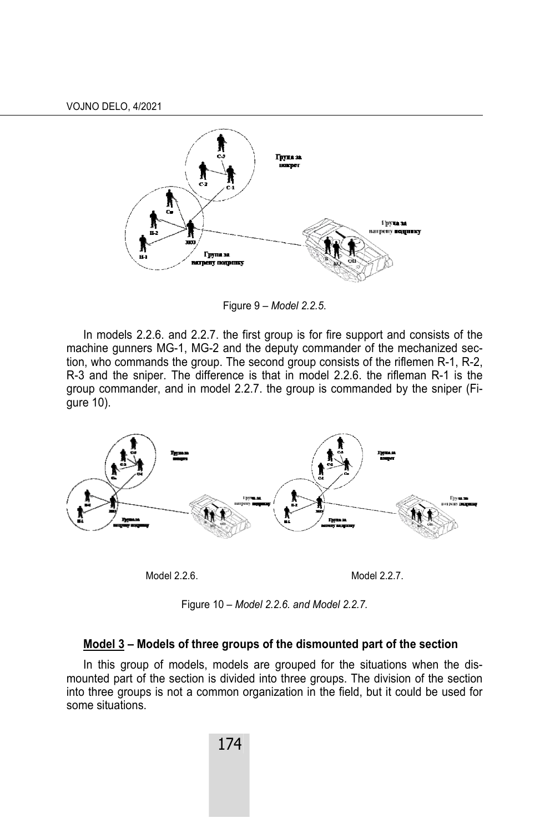

Figure 9 – *Model 2.2.5*.

In models 2.2.6. and 2.2.7. the first group is for fire support and consists of the machine gunners MG-1, MG-2 and the deputy commander of the mechanized section, who commands the group. The second group consists of the riflemen R-1, R-2, R-3 and the sniper. The difference is that in model 2.2.6. the rifleman R-1 is the group commander, and in model 2.2.7. the group is commanded by the sniper (Figure 10).



Model 2.2.6. Model 2.2.7.

Figure 10 – *Model 2.2.6. and Model 2.2.7.*

#### **Model 3 – Models of three groups of the dismounted part of the section**

In this group of models, models are grouped for the situations when the dismounted part of the section is divided into three groups. The division of the section into three groups is not a common organization in the field, but it could be used for some situations.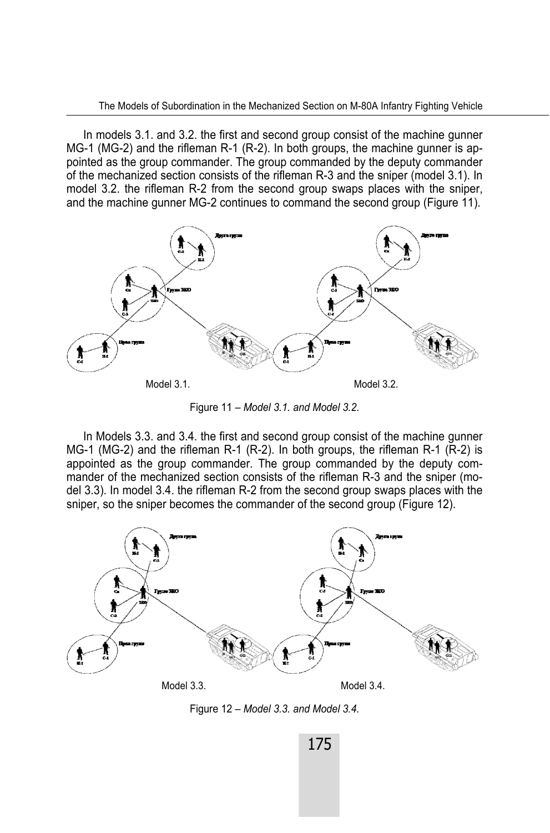In models 3.1. and 3.2. the first and second group consist of the machine gunner MG-1 (MG-2) and the rifleman R-1 (R-2). In both groups, the machine gunner is appointed as the group commander. The group commanded by the deputy commander of the mechanized section consists of the rifleman R-3 and the sniper (model 3.1). In model 3.2. the rifleman R-2 from the second group swaps places with the sniper, and the machine gunner MG-2 continues to command the second group (Figure 11).



Figure 11 – *Model 3.1. and Model 3.2.*

 In Models 3.3. and 3.4. the first and second group consist of the machine gunner MG-1 (MG-2) and the rifleman R-1 (R-2). In both groups, the rifleman R-1 (R-2) is appointed as the group commander. The group commanded by the deputy commander of the mechanized section consists of the rifleman R-3 and the sniper (model 3.3). In model 3.4. the rifleman R-2 from the second group swaps places with the sniper, so the sniper becomes the commander of the second group (Figure 12).



Figure 12 – *Model 3.3. and Model 3.4.*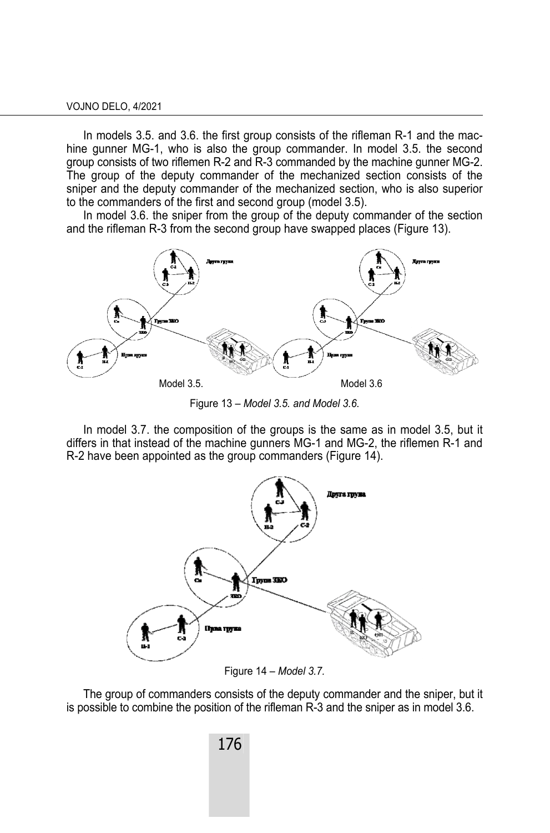In models 3.5. and 3.6. the first group consists of the rifleman R-1 and the machine gunner MG-1, who is also the group commander. In model 3.5. the second group consists of two riflemen R-2 and R-3 commanded by the machine gunner MG-2. The group of the deputy commander of the mechanized section consists of the sniper and the deputy commander of the mechanized section, who is also superior to the commanders of the first and second group (model 3.5).

In model 3.6. the sniper from the group of the deputy commander of the section and the rifleman R-3 from the second group have swapped places (Figure 13).



Figure 13 – *Model 3.5. and Model 3.6*.

In model 3.7. the composition of the groups is the same as in model 3.5, but it differs in that instead of the machine gunners MG-1 and MG-2, the riflemen R-1 and R-2 have been appointed as the group commanders (Figure 14).



Figure 14 *– Model 3.7.*

The group of commanders consists of the deputy commander and the sniper, but it is possible to combine the position of the rifleman R-3 and the sniper as in model 3.6.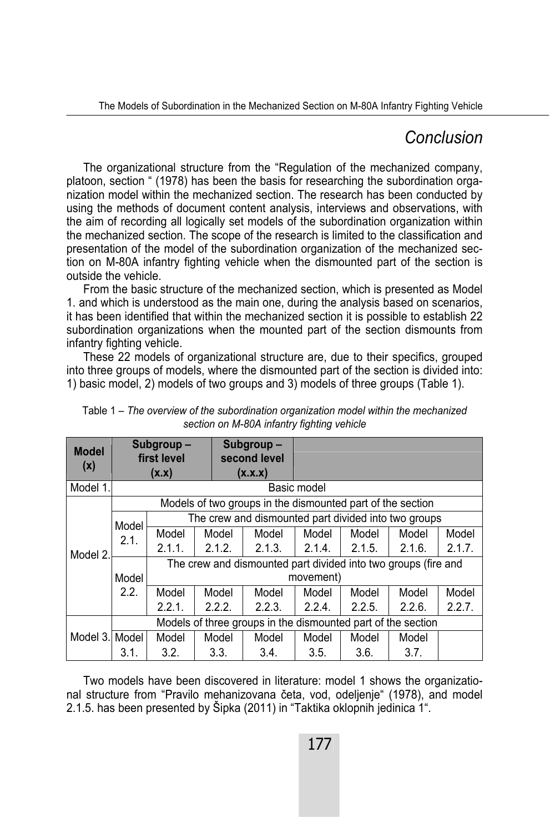## *Conclusion*

The organizational structure from the "Regulation of the mechanized company, platoon, section " (1978) has been the basis for researching the subordination organization model within the mechanized section. The research has been conducted by using the methods of document content analysis, interviews and observations, with the aim of recording all logically set models of the subordination organization within the mechanized section. The scope of the research is limited to the classification and presentation of the model of the subordination organization of the mechanized section on M-80A infantry fighting vehicle when the dismounted part of the section is outside the vehicle.

From the basic structure of the mechanized section, which is presented as Model 1. and which is understood as the main one, during the analysis based on scenarios, it has been identified that within the mechanized section it is possible to establish 22 subordination organizations when the mounted part of the section dismounts from infantry fighting vehicle.

These 22 models of organizational structure are, due to their specifics, grouped into three groups of models, where the dismounted part of the section is divided into: 1) basic model, 2) models of two groups and 3) models of three groups (Table 1).

| <b>Model</b> | Subgroup-<br>first level                                     |                                                                |        | Subgroup-<br>second level |        |        |        |        |  |  |
|--------------|--------------------------------------------------------------|----------------------------------------------------------------|--------|---------------------------|--------|--------|--------|--------|--|--|
| (x)          | (X.X)                                                        |                                                                |        | (X.X.X)                   |        |        |        |        |  |  |
| Model 1.     | Basic model                                                  |                                                                |        |                           |        |        |        |        |  |  |
| Model 2.     | Models of two groups in the dismounted part of the section   |                                                                |        |                           |        |        |        |        |  |  |
|              | Model                                                        | The crew and dismounted part divided into two groups           |        |                           |        |        |        |        |  |  |
|              | 2.1.                                                         | Model                                                          | Model  | Model                     | Model  | Model  | Model  | Model  |  |  |
|              |                                                              | 2.1.1.                                                         | 2.1.2. | 2.1.3.                    | 2.1.4. | 2.1.5. | 2.1.6. | 2.1.7. |  |  |
|              |                                                              | The crew and dismounted part divided into two groups (fire and |        |                           |        |        |        |        |  |  |
|              | Model                                                        | movement)                                                      |        |                           |        |        |        |        |  |  |
|              | 2.2.                                                         | Model                                                          | Model  | Model                     | Model  | Model  | Model  | Model  |  |  |
|              |                                                              | 2.2.1.                                                         | 2.2.2. | 2.2.3.                    | 2.2.4. | 2.2.5. | 2.2.6. | 2.2.7. |  |  |
|              | Models of three groups in the dismounted part of the section |                                                                |        |                           |        |        |        |        |  |  |
| Model 3.     | Model                                                        | Model                                                          | Model  | Model                     | Model  | Model  | Model  |        |  |  |
|              | 3.1.                                                         | 3.2.                                                           | 3.3.   | 3.4.                      | 3.5.   | 3.6.   | 3.7.   |        |  |  |

Table 1 – *The overview of the subordination organization model within the mechanized section on M-80A infantry fighting vehicle* 

Two models have been discovered in literature: model 1 shows the organizational structure from "Pravilo mehanizovana četa, vod, odeljenje" (1978), and model 2.1.5. has been presented by Šipka (2011) in "Taktika oklopnih jedinica 1".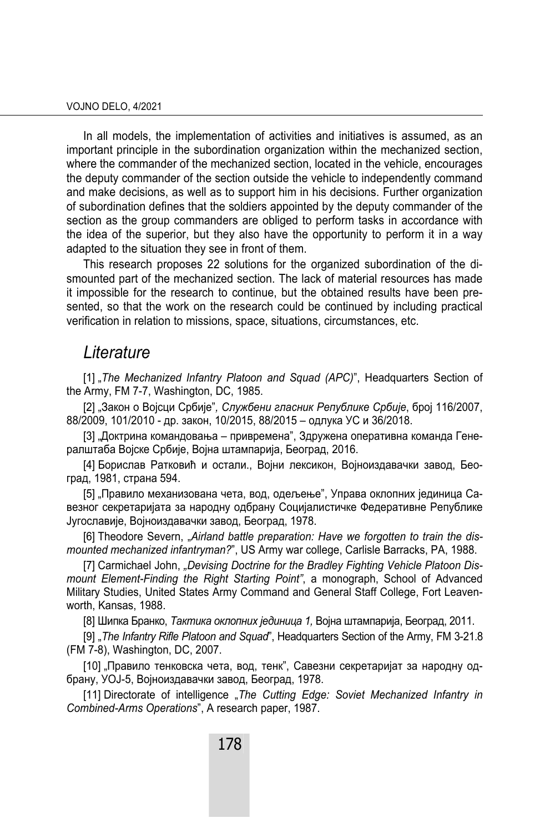In all models, the implementation of activities and initiatives is assumed, as an important principle in the subordination organization within the mechanized section, where the commander of the mechanized section, located in the vehicle, encourages the deputy commander of the section outside the vehicle to independently command and make decisions, as well as to support him in his decisions. Further organization of subordination defines that the soldiers appointed by the deputy commander of the section as the group commanders are obliged to perform tasks in accordance with the idea of the superior, but they also have the opportunity to perform it in a way adapted to the situation they see in front of them.

This research proposes 22 solutions for the organized subordination of the dismounted part of the mechanized section. The lack of material resources has made it impossible for the research to continue, but the obtained results have been presented, so that the work on the research could be continued by including practical verification in relation to missions, space, situations, circumstances, etc.

### *Literature*

[1] "*The Mechanized Infantry Platoon and Squad (APC)*", Headquarters Section of the Army, FM 7-7, Washington, DC, 1985.

[2] "Закон о Војсци Србије"*, Службени гласник Републике Србије*, број 116/2007, 88/2009, 101/2010 - др. закон, 10/2015, 88/2015 – одлука УС и 36/2018.

[3] "Доктрина командовања – привремена", Здружена оперативна команда Генералштаба Војске Србије, Војна штампарија, Београд, 2016.

[4] Борислав Ратковић и остали., Војни лексикон, Војноиздавачки завод, Београд, 1981, страна 594.

[5] "Правило механизована чета, вод, одељење", Управа оклопних јединица Савезног секретаријата за народну одбрану Социјалистичке Федеративне Републике Југославије, Војноиздавачки завод, Београд, 1978.

[6] Theodore Severn, "Airland battle preparation: Have we forgotten to train the dis*mounted mechanized infantryman?*", US Army war college, Carlisle Barracks, PA, 1988.

[7] Carmichael John, "Devising Doctrine for the Bradley Fighting Vehicle Platoon Dis*mount Element-Finding the Right Starting Point"*, a monograph, School of Advanced Military Studies, United States Army Command and General Staff College, Fort Leavenworth, Kansas, 1988.

[8] Шипка Бранко, *Tактика оклопних јединица 1,* Војна штампарија, Београд, 2011.

[9] "*The Infantry Rifle Platoon and Squad*", Headquarters Section of the Army, FM 3-21.8 (FM 7-8), Washington, DC, 2007.

[10] "Правило тенковска чета, вод, тенк", Савезни секретаријат за народну одбрану, УОЈ-5, Војноиздавачки завод, Београд, 1978.

[11] Directorate of intelligence "The Cutting Edge: Soviet Mechanized Infantry in *Combined-Arms Operations*", A research paper, 1987.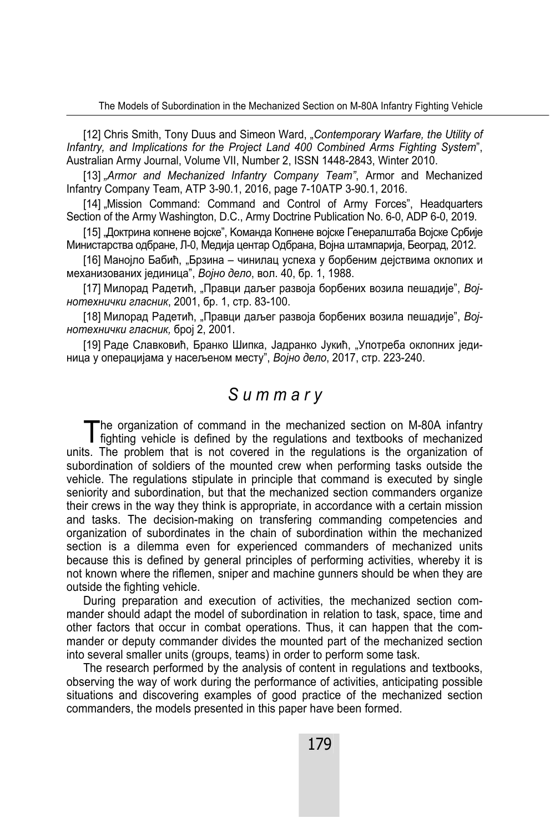[12] Chris Smith, Tony Duus and Simeon Ward, "*Contemporary Warfare, the Utility of Infantry, and Implications for the Project Land 400 Combined Arms Fighting System*", Australian Army Journal, Volume VII, Number 2, ISSN 1448-2843, Winter 2010.

[13] "Armor and Mechanized Infantry Company Team", Armor and Mechanized Infantry Company Team, ATP 3-90.1, 2016, page 7-10ATP 3-90.1, 2016.

[14] "Mission Command: Command and Control of Army Forces", Headquarters Section of the Army Washington, D.C., Army Doctrine Publication No. 6-0, ADP 6-0, 2019.

[15] "Доктрина копнене војске", Kоманда Копнене војске Генералштаба Војске Србије Министарства одбране, Л-0, Медија центар Одбрана, Војна штампарија, Београд, 2012.

[16] Манојло Бабић, "Брзина – чинилац успеха у борбеним дејствима оклопих и механизованих јединица", *Војно дело*, вол. 40, бр. 1, 1988.

[17] Милорад Радетић, "Правци даљег развоја борбених возила пешадије", *Војнотехнички гласник*, 2001, бр. 1, стр. 83-100.

[18] Милорад Радетић, "Правци даљег развоја борбених возила пешадије", Вој*нотехнички гласник,* број 2, 2001.

[19] Раде Славковић, Бранко Шипка, Јадранко Јукић, "Употреба оклопних јединица у операцијама у насељеном месту", *Војно дело*, 2017, стр. 223-240.

## *S u m m a r y*

he organization of command in the mechanized section on M-80A infantry The organization of command in the mechanized section on M-80A infantry fighting vehicle is defined by the regulations and textbooks of mechanized units. The problem that is not covered in the regulations is the organization of subordination of soldiers of the mounted crew when performing tasks outside the vehicle. The regulations stipulate in principle that command is executed by single seniority and subordination, but that the mechanized section commanders organize their crews in the way they think is appropriate, in accordance with a certain mission and tasks. The decision-making on transfering commanding competencies and organization of subordinates in the chain of subordination within the mechanized section is a dilemma even for experienced commanders of mechanized units because this is defined by general principles of performing activities, whereby it is not known where the riflemen, sniper and machine gunners should be when they are outside the fighting vehicle.

During preparation and execution of activities, the mechanized section commander should adapt the model of subordination in relation to task, space, time and other factors that occur in combat operations. Thus, it can happen that the commander or deputy commander divides the mounted part of the mechanized section into several smaller units (groups, teams) in order to perform some task.

The research performed by the analysis of content in regulations and textbooks, observing the way of work during the performance of activities, anticipating possible situations and discovering examples of good practice of the mechanized section commanders, the models presented in this paper have been formed.